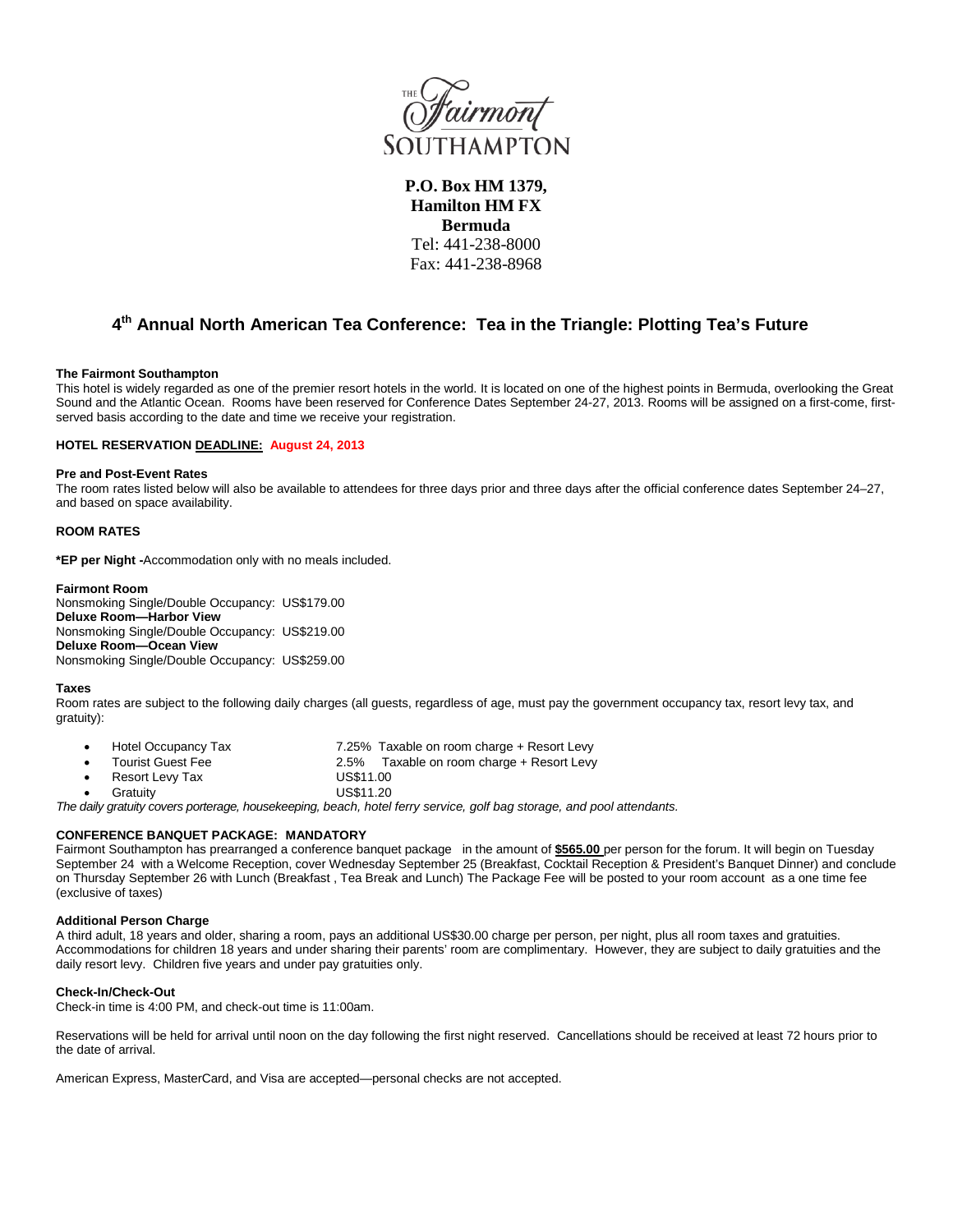

**P.O. Box HM 1379, Hamilton HM FX Bermuda** Tel: 441-238-8000 Fax: 441-238-8968

# **4th Annual North American Tea Conference: Tea in the Triangle: Plotting Tea's Future**

### **The Fairmont Southampton**

This hotel is widely regarded as one of the premier resort hotels in the world. It is located on one of the highest points in Bermuda, overlooking the Great Sound and the Atlantic Ocean. Rooms have been reserved for Conference Dates September 24-27, 2013. Rooms will be assigned on a first-come, firstserved basis according to the date and time we receive your registration.

## **HOTEL RESERVATION DEADLINE: August 24, 2013**

### **Pre and Post-Event Rates**

The room rates listed below will also be available to attendees for three days prior and three days after the official conference dates September 24–27, and based on space availability.

## **ROOM RATES**

**\*EP per Night -**Accommodation only with no meals included.

### **Fairmont Room**

Nonsmoking Single/Double Occupancy: US\$179.00 **Deluxe Room—Harbor View** Nonsmoking Single/Double Occupancy: US\$219.00 **Deluxe Room—Ocean View** Nonsmoking Single/Double Occupancy: US\$259.00

### **Taxes**

Room rates are subject to the following daily charges (all guests, regardless of age, must pay the government occupancy tax, resort levy tax, and gratuity):

- Hotel Occupancy Tax 7.25% Taxable on room charge + Resort Levy
	- Tourist Guest Fee 2.5% Taxable on room charge + Resort Levy
- **Resort Levy Tax CONTER US\$11.00**
- Gratuity US\$11.20

*The daily gratuity covers porterage, housekeeping, beach, hotel ferry service, golf bag storage, and pool attendants.*

## **CONFERENCE BANQUET PACKAGE: MANDATORY**

Fairmont Southampton has prearranged a conference banquet package in the amount of **\$565.00** per person for the forum. It will begin on Tuesday September 24 with a Welcome Reception, cover Wednesday September 25 (Breakfast, Cocktail Reception & President's Banquet Dinner) and conclude on Thursday September 26 with Lunch (Breakfast , Tea Break and Lunch) The Package Fee will be posted to your room account as a one time fee (exclusive of taxes)

## **Additional Person Charge**

A third adult, 18 years and older, sharing a room, pays an additional US\$30.00 charge per person, per night, plus all room taxes and gratuities. Accommodations for children 18 years and under sharing their parents' room are complimentary. However, they are subject to daily gratuities and the daily resort levy. Children five years and under pay gratuities only.

## **Check-In/Check-Out**

Check-in time is 4:00 PM, and check-out time is 11:00am.

Reservations will be held for arrival until noon on the day following the first night reserved. Cancellations should be received at least 72 hours prior to the date of arrival.

American Express, MasterCard, and Visa are accepted—personal checks are not accepted.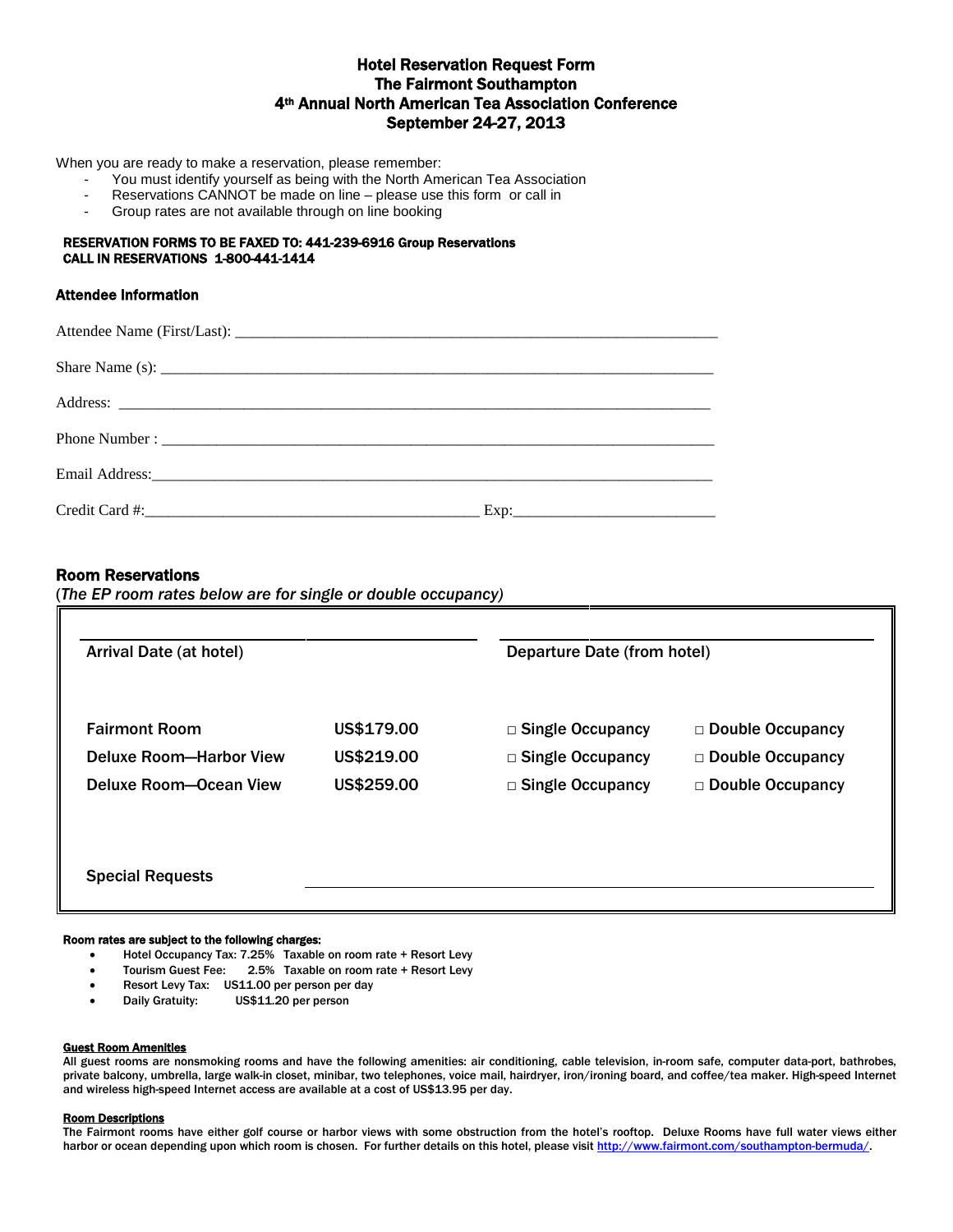# Hotel Reservation Request Form The Fairmont Southampton 4th Annual North American Tea Association Conference September 24-27, 2013

When you are ready to make a reservation, please remember:

- You must identify yourself as being with the North American Tea Association
- Reservations CANNOT be made on line please use this form or call in<br>- Group rates are not available through on line booking
- Group rates are not available through on line booking

## RESERVATION FORMS TO BE FAXED TO: 441-239-6916 Group Reservations CALL IN RESERVATIONS 1-800-441-1414

## Attendee Information

| Share Name (s): $\frac{1}{2}$ (s) $\frac{1}{2}$ (s) $\frac{1}{2}$ (s) $\frac{1}{2}$ (s) $\frac{1}{2}$ (s) $\frac{1}{2}$ (s) $\frac{1}{2}$ (s) $\frac{1}{2}$ (s) $\frac{1}{2}$ (s) $\frac{1}{2}$ (s) $\frac{1}{2}$ (s) $\frac{1}{2}$ (s) $\frac{1}{2}$ (s) $\frac{1}{2}$ (s) $\frac{1}{2}$ |  |
|-------------------------------------------------------------------------------------------------------------------------------------------------------------------------------------------------------------------------------------------------------------------------------------------|--|
|                                                                                                                                                                                                                                                                                           |  |
|                                                                                                                                                                                                                                                                                           |  |
|                                                                                                                                                                                                                                                                                           |  |
|                                                                                                                                                                                                                                                                                           |  |

## Room Reservations

(*The EP room rates below are for single or double occupancy)*

| Arrival Date (at hotel) |            | Departure Date (from hotel) |                         |
|-------------------------|------------|-----------------------------|-------------------------|
| <b>Fairmont Room</b>    | US\$179.00 | $\Box$ Single Occupancy     | $\Box$ Double Occupancy |
| Deluxe Room-Harbor View | US\$219.00 | $\Box$ Single Occupancy     | □ Double Occupancy      |
| Deluxe Room-Ocean View  | US\$259.00 | $\Box$ Single Occupancy     | $\Box$ Double Occupancy |
| <b>Special Requests</b> |            |                             |                         |

## Room rates are subject to the following charges:

- Hotel Occupancy Tax: 7.25% Taxable on room rate + Resort Levy
- Tourism Guest Fee: 2.5% Taxable on room rate + Resort Levy
- Resort Levy Tax: US11.00 per person per day
- Daily Gratuity: US\$11.20 per person

#### Guest Room Amenities

All guest rooms are nonsmoking rooms and have the following amenities: air conditioning, cable television, in-room safe, computer data-port, bathrobes, private balcony, umbrella, large walk-in closet, minibar, two telephones, voice mail, hairdryer, iron/ironing board, and coffee/tea maker. High-speed Internet and wireless high-speed Internet access are available at a cost of US\$13.95 per day.

## Room Descriptions

The Fairmont rooms have either golf course or harbor views with some obstruction from the hotel's rooftop. Deluxe Rooms have full water views either harbor or ocean depending upon which room is chosen. For further details on this hotel, please visi[t http://www.fairmont.com/southampton-bermuda/.](http://www.fairmont.com/southampton-bermuda/)